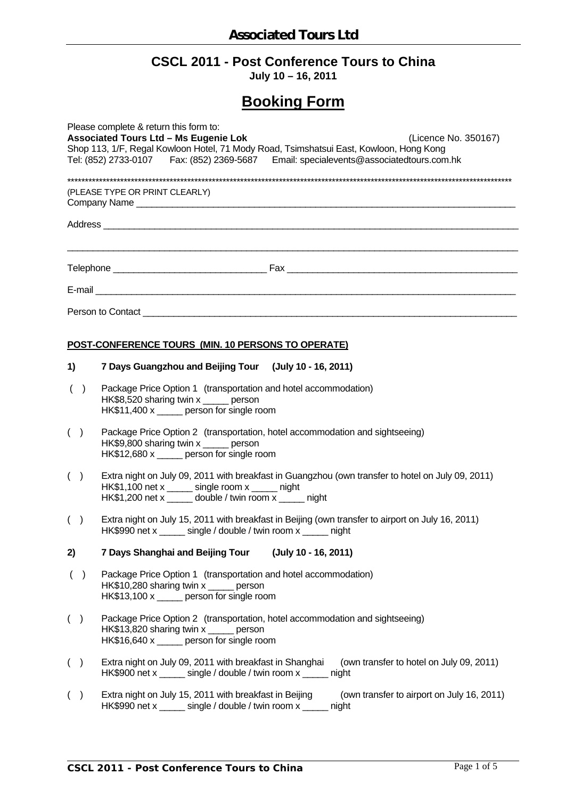# **CSCL 2011 - Post Conference Tours to China**

**July 10 – 16, 2011** 

# **Booking Form**

| Please complete & return this form to:<br><b>Associated Tours Ltd - Ms Eugenie Lok</b><br>(Licence No. 350167)<br>Shop 113, 1/F, Regal Kowloon Hotel, 71 Mody Road, Tsimshatsui East, Kowloon, Hong Kong<br>Tel: (852) 2733-0107 Fax: (852) 2369-5687 Email: specialevents@associatedtours.com.hk |                                |                                                                                                                                                                                                                 |  |  |  |  |  |  |
|---------------------------------------------------------------------------------------------------------------------------------------------------------------------------------------------------------------------------------------------------------------------------------------------------|--------------------------------|-----------------------------------------------------------------------------------------------------------------------------------------------------------------------------------------------------------------|--|--|--|--|--|--|
|                                                                                                                                                                                                                                                                                                   | (PLEASE TYPE OR PRINT CLEARLY) |                                                                                                                                                                                                                 |  |  |  |  |  |  |
|                                                                                                                                                                                                                                                                                                   |                                |                                                                                                                                                                                                                 |  |  |  |  |  |  |
|                                                                                                                                                                                                                                                                                                   |                                |                                                                                                                                                                                                                 |  |  |  |  |  |  |
|                                                                                                                                                                                                                                                                                                   |                                |                                                                                                                                                                                                                 |  |  |  |  |  |  |
|                                                                                                                                                                                                                                                                                                   |                                |                                                                                                                                                                                                                 |  |  |  |  |  |  |
|                                                                                                                                                                                                                                                                                                   |                                | POST-CONFERENCE TOURS (MIN. 10 PERSONS TO OPERATE)                                                                                                                                                              |  |  |  |  |  |  |
| 1)                                                                                                                                                                                                                                                                                                |                                | 7 Days Guangzhou and Beijing Tour (July 10 - 16, 2011)                                                                                                                                                          |  |  |  |  |  |  |
|                                                                                                                                                                                                                                                                                                   | ( )                            | Package Price Option 1 (transportation and hotel accommodation)<br>HK\$8,520 sharing twin x _____ person<br>HK\$11,400 x _____ person for single room                                                           |  |  |  |  |  |  |
| ( )                                                                                                                                                                                                                                                                                               |                                | Package Price Option 2 (transportation, hotel accommodation and sightseeing)<br>HK\$9,800 sharing twin x ______ person<br>HK\$12,680 x _____ person for single room                                             |  |  |  |  |  |  |
| ( )                                                                                                                                                                                                                                                                                               |                                | Extra night on July 09, 2011 with breakfast in Guangzhou (own transfer to hotel on July 09, 2011)<br>HK\$1,100 net x ______ single room x _____ night<br>HK\$1,200 net x _____ double / twin room x _____ night |  |  |  |  |  |  |
| ( )                                                                                                                                                                                                                                                                                               |                                | Extra night on July 15, 2011 with breakfast in Beijing (own transfer to airport on July 16, 2011)<br>HK\$990 net x ______ single / double / twin room x _____ night                                             |  |  |  |  |  |  |
| 2)                                                                                                                                                                                                                                                                                                |                                | 7 Days Shanghai and Beijing Tour (July 10 - 16, 2011)                                                                                                                                                           |  |  |  |  |  |  |
|                                                                                                                                                                                                                                                                                                   | ( )                            | Package Price Option 1 (transportation and hotel accommodation)<br>HK\$10,280 sharing twin x _____ person<br>HK\$13,100 x _____ person for single room                                                          |  |  |  |  |  |  |
| ( )                                                                                                                                                                                                                                                                                               |                                | Package Price Option 2 (transportation, hotel accommodation and sightseeing)<br>HK\$13,820 sharing twin x _____ person<br>HK\$16,640 x _____ person for single room                                             |  |  |  |  |  |  |
| $($ )                                                                                                                                                                                                                                                                                             |                                | Extra night on July 09, 2011 with breakfast in Shanghai<br>(own transfer to hotel on July 09, 2011)<br>HK\$900 net x ______ single / double / twin room x _____ night                                           |  |  |  |  |  |  |
| $($ )                                                                                                                                                                                                                                                                                             |                                | Extra night on July 15, 2011 with breakfast in Beijing<br>(own transfer to airport on July 16, 2011)<br>HK\$990 net x ______ single / double / twin room x _____ night                                          |  |  |  |  |  |  |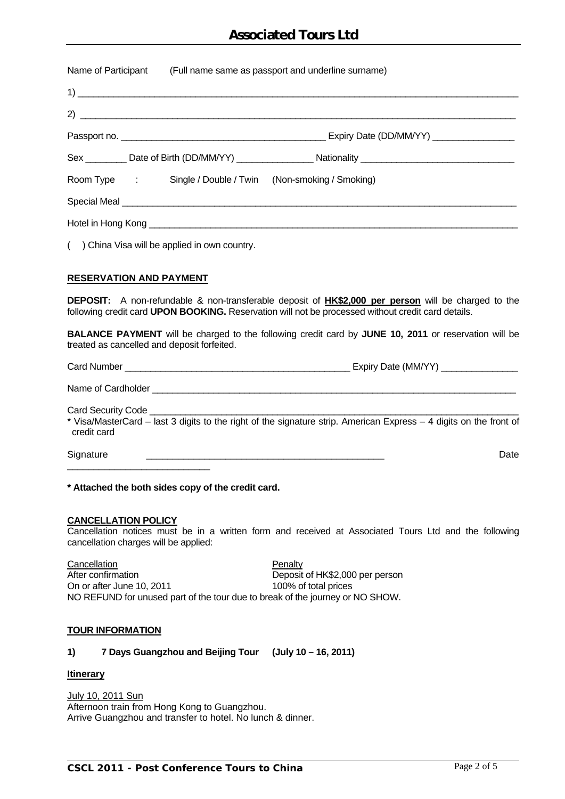## **Associated Tours Ltd**

| Name of Participant<br>(Full name same as passport and underline surname) |                                                                                                      |  |  |  |
|---------------------------------------------------------------------------|------------------------------------------------------------------------------------------------------|--|--|--|
|                                                                           |                                                                                                      |  |  |  |
|                                                                           |                                                                                                      |  |  |  |
|                                                                           |                                                                                                      |  |  |  |
|                                                                           | Sex __________ Date of Birth (DD/MM/YY) __________________ Nationality _____________________________ |  |  |  |
| Room Type : Single / Double / Twin (Non-smoking / Smoking)                |                                                                                                      |  |  |  |
| Special Meal <u>Special Adam</u>                                          |                                                                                                      |  |  |  |
|                                                                           |                                                                                                      |  |  |  |

( ) China Visa will be applied in own country.

### **RESERVATION AND PAYMENT**

**DEPOSIT:** A non-refundable & non-transferable deposit of **HK\$2,000 per person** will be charged to the following credit card **UPON BOOKING.** Reservation will not be processed without credit card details.

**BALANCE PAYMENT** will be charged to the following credit card by **JUNE 10, 2011** or reservation will be treated as cancelled and deposit forfeited.

| <b>Card Number</b> | Expiry Date (MM/YY) |  |
|--------------------|---------------------|--|
|                    |                     |  |

| Name of Cardholder |  |
|--------------------|--|
|                    |  |

Card Security Code

\* Visa/MasterCard – last 3 digits to the right of the signature strip. American Express – 4 digits on the front of credit card

Signature \_\_\_\_\_\_\_\_\_\_\_\_\_\_\_\_\_\_\_\_\_\_\_\_\_\_\_\_\_\_\_\_\_\_\_\_\_\_\_\_\_\_\_\_\_ Date

**\* Attached the both sides copy of the credit card.** 

#### **CANCELLATION POLICY**

\_\_\_\_\_\_\_\_\_\_\_\_\_\_\_\_\_\_\_\_\_\_\_\_\_\_\_

Cancellation notices must be in a written form and received at Associated Tours Ltd and the following cancellation charges will be applied:

Cancellation **Penalty** After confirmation **Deposit of HK\$2,000 per person** On or after June 10, 2011 100% of total prices NO REFUND for unused part of the tour due to break of the journey or NO SHOW.

#### **TOUR INFORMATION**

**1) 7 Days Guangzhou and Beijing Tour (July 10 – 16, 2011)** 

#### **Itinerary**

July 10, 2011 Sun Afternoon train from Hong Kong to Guangzhou. Arrive Guangzhou and transfer to hotel. No lunch & dinner.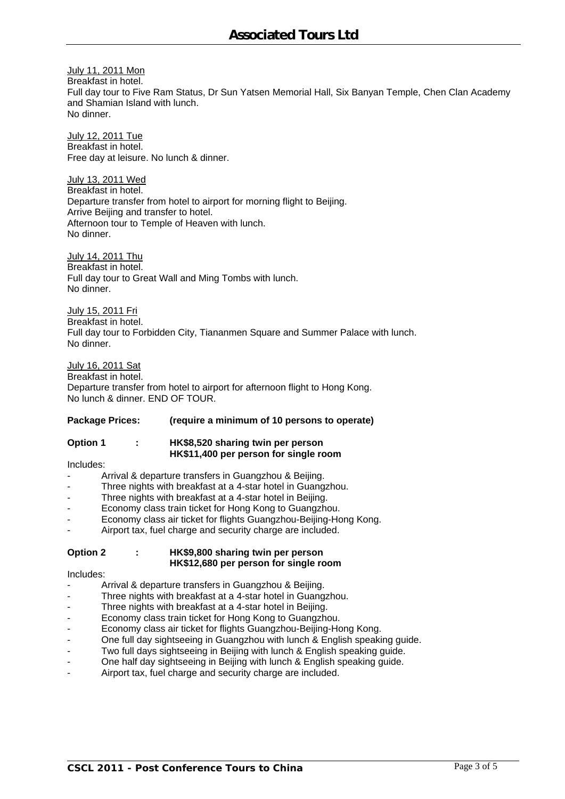July 11, 2011 Mon Breakfast in hotel. Full day tour to Five Ram Status, Dr Sun Yatsen Memorial Hall, Six Banyan Temple, Chen Clan Academy and Shamian Island with lunch. No dinner.

July 12, 2011 Tue Breakfast in hotel. Free day at leisure. No lunch & dinner.

July 13, 2011 Wed Breakfast in hotel. Departure transfer from hotel to airport for morning flight to Beijing. Arrive Beijing and transfer to hotel. Afternoon tour to Temple of Heaven with lunch. No dinner.

July 14, 2011 Thu Breakfast in hotel. Full day tour to Great Wall and Ming Tombs with lunch. No dinner.

July 15, 2011 Fri Breakfast in hotel. Full day tour to Forbidden City, Tiananmen Square and Summer Palace with lunch. No dinner.

July 16, 2011 Sat Breakfast in hotel. Departure transfer from hotel to airport for afternoon flight to Hong Kong. No lunch & dinner. END OF TOUR.

#### **Package Prices: (require a minimum of 10 persons to operate)**

#### **Option 1 : HK\$8,520 sharing twin per person HK\$11,400 per person for single room**

Includes:

- Arrival & departure transfers in Guangzhou & Beijing.
- Three nights with breakfast at a 4-star hotel in Guangzhou.
- Three nights with breakfast at a 4-star hotel in Beijing.
- Economy class train ticket for Hong Kong to Guangzhou.
- Economy class air ticket for flights Guangzhou-Beijing-Hong Kong.
- Airport tax, fuel charge and security charge are included.

#### **Option 2 : HK\$9,800 sharing twin per person HK\$12,680 per person for single room**

Includes:

- Arrival & departure transfers in Guangzhou & Beijing.
- Three nights with breakfast at a 4-star hotel in Guangzhou.
- Three nights with breakfast at a 4-star hotel in Beijing.
- Economy class train ticket for Hong Kong to Guangzhou.
- Economy class air ticket for flights Guangzhou-Beijing-Hong Kong.
- One full day sightseeing in Guangzhou with lunch & English speaking guide.
- Two full days sightseeing in Beijing with lunch & English speaking guide.
- One half day sightseeing in Beijing with lunch & English speaking guide.
- Airport tax, fuel charge and security charge are included.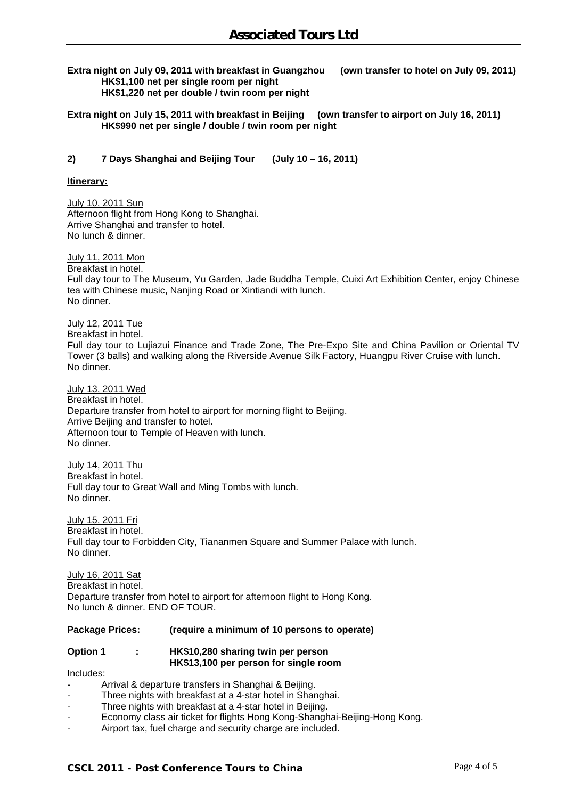**Extra night on July 09, 2011 with breakfast in Guangzhou (own transfer to hotel on July 09, 2011) HK\$1,100 net per single room per night HK\$1,220 net per double / twin room per night** 

**Extra night on July 15, 2011 with breakfast in Beijing (own transfer to airport on July 16, 2011) HK\$990 net per single / double / twin room per night** 

**2) 7 Days Shanghai and Beijing Tour (July 10 – 16, 2011)** 

**Itinerary:**

July 10, 2011 Sun Afternoon flight from Hong Kong to Shanghai. Arrive Shanghai and transfer to hotel. No lunch & dinner.

July 11, 2011 Mon Breakfast in hotel. Full day tour to The Museum, Yu Garden, Jade Buddha Temple, Cuixi Art Exhibition Center, enjoy Chinese tea with Chinese music, Nanjing Road or Xintiandi with lunch. No dinner.

July 12, 2011 Tue Breakfast in hotel. Full day tour to Lujiazui Finance and Trade Zone, The Pre-Expo Site and China Pavilion or Oriental TV Tower (3 balls) and walking along the Riverside Avenue Silk Factory, Huangpu River Cruise with lunch. No dinner.

July 13, 2011 Wed Breakfast in hotel. Departure transfer from hotel to airport for morning flight to Beijing. Arrive Beijing and transfer to hotel. Afternoon tour to Temple of Heaven with lunch. No dinner.

July 14, 2011 Thu Breakfast in hotel. Full day tour to Great Wall and Ming Tombs with lunch. No dinner.

July 15, 2011 Fri Breakfast in hotel. Full day tour to Forbidden City, Tiananmen Square and Summer Palace with lunch. No dinner.

July 16, 2011 Sat Breakfast in hotel. Departure transfer from hotel to airport for afternoon flight to Hong Kong. No lunch & dinner. END OF TOUR.

#### **Package Prices: (require a minimum of 10 persons to operate)**

### **Option 1 : HK\$10,280 sharing twin per person HK\$13,100 per person for single room**

Includes:

- Arrival & departure transfers in Shanghai & Beijing.
- Three nights with breakfast at a 4-star hotel in Shanghai.
- Three nights with breakfast at a 4-star hotel in Beijing.
- Economy class air ticket for flights Hong Kong-Shanghai-Beijing-Hong Kong.
- Airport tax, fuel charge and security charge are included.